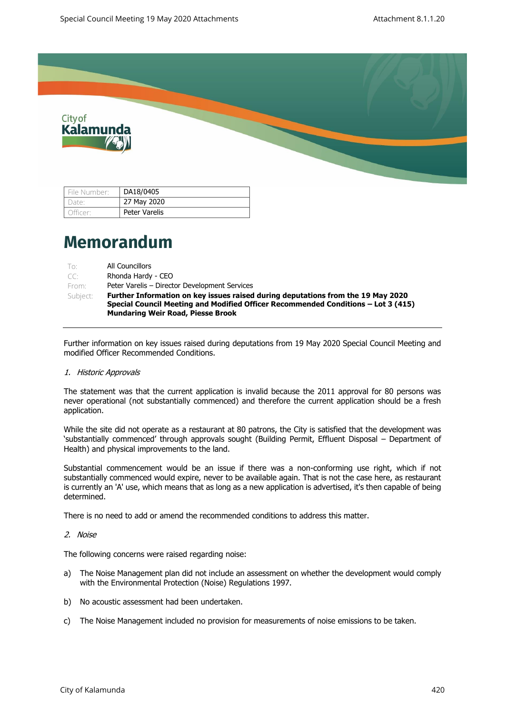

| File Number: | DA18/0405     |
|--------------|---------------|
| Date:        | 27 May 2020   |
| Officer:     | Peter Varelis |

# **Memorandum**

| To:      | All Councillors                                                                   |
|----------|-----------------------------------------------------------------------------------|
| $TC^*$   | Rhonda Hardy - CEO                                                                |
| From:    | Peter Varelis – Director Development Services                                     |
| Subject: | Further Information on key issues raised during deputations from the 19 May 2020  |
|          | Special Council Meeting and Modified Officer Recommended Conditions – Lot 3 (415) |
|          | <b>Mundaring Weir Road, Piesse Brook</b>                                          |

Further information on key issues raised during deputations from 19 May 2020 Special Council Meeting and modified Officer Recommended Conditions.

1. Historic Approvals

The statement was that the current application is invalid because the 2011 approval for 80 persons was never operational (not substantially commenced) and therefore the current application should be a fresh application.

While the site did not operate as a restaurant at 80 patrons, the City is satisfied that the development was 'substantially commenced' through approvals sought (Building Permit, Effluent Disposal – Department of Health) and physical improvements to the land.

Substantial commencement would be an issue if there was a non-conforming use right, which if not substantially commenced would expire, never to be available again. That is not the case here, as restaurant is currently an 'A' use, which means that as long as a new application is advertised, it's then capable of being determined.

There is no need to add or amend the recommended conditions to address this matter.

2. Noise

The following concerns were raised regarding noise:

- a) The Noise Management plan did not include an assessment on whether the development would comply with the Environmental Protection (Noise) Regulations 1997.
- b) No acoustic assessment had been undertaken.
- c) The Noise Management included no provision for measurements of noise emissions to be taken.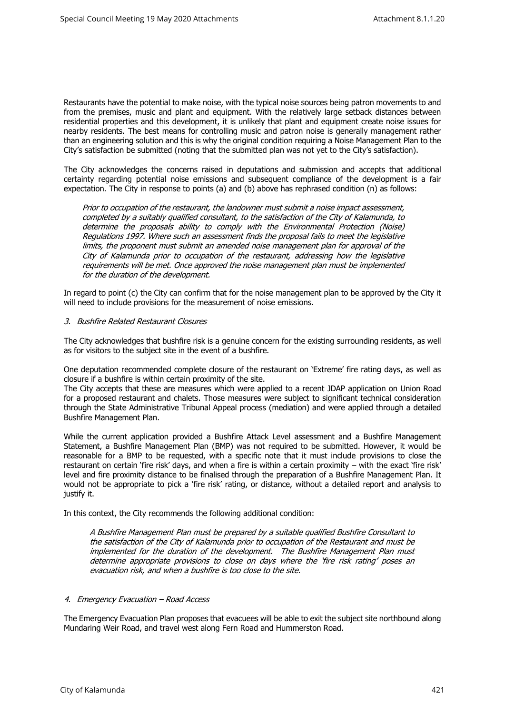Restaurants have the potential to make noise, with the typical noise sources being patron movements to and from the premises, music and plant and equipment. With the relatively large setback distances between residential properties and this development, it is unlikely that plant and equipment create noise issues for nearby residents. The best means for controlling music and patron noise is generally management rather than an engineering solution and this is why the original condition requiring a Noise Management Plan to the City's satisfaction be submitted (noting that the submitted plan was not yet to the City's satisfaction).

The City acknowledges the concerns raised in deputations and submission and accepts that additional certainty regarding potential noise emissions and subsequent compliance of the development is a fair expectation. The City in response to points (a) and (b) above has rephrased condition (n) as follows:

Prior to occupation of the restaurant, the landowner must submit a noise impact assessment, completed by a suitably qualified consultant, to the satisfaction of the City of Kalamunda, to determine the proposals ability to comply with the Environmental Protection (Noise) Regulations 1997. Where such an assessment finds the proposal fails to meet the legislative limits, the proponent must submit an amended noise management plan for approval of the City of Kalamunda prior to occupation of the restaurant, addressing how the legislative requirements will be met. Once approved the noise management plan must be implemented for the duration of the development.

In regard to point (c) the City can confirm that for the noise management plan to be approved by the City it will need to include provisions for the measurement of noise emissions.

## 3. Bushfire Related Restaurant Closures

The City acknowledges that bushfire risk is a genuine concern for the existing surrounding residents, as well as for visitors to the subject site in the event of a bushfire.

One deputation recommended complete closure of the restaurant on 'Extreme' fire rating days, as well as closure if a bushfire is within certain proximity of the site.

The City accepts that these are measures which were applied to a recent JDAP application on Union Road for a proposed restaurant and chalets. Those measures were subject to significant technical consideration through the State Administrative Tribunal Appeal process (mediation) and were applied through a detailed Bushfire Management Plan.

While the current application provided a Bushfire Attack Level assessment and a Bushfire Management Statement, a Bushfire Management Plan (BMP) was not required to be submitted. However, it would be reasonable for a BMP to be requested, with a specific note that it must include provisions to close the restaurant on certain 'fire risk' days, and when a fire is within a certain proximity – with the exact 'fire risk' level and fire proximity distance to be finalised through the preparation of a Bushfire Management Plan. It would not be appropriate to pick a 'fire risk' rating, or distance, without a detailed report and analysis to justify it.

In this context, the City recommends the following additional condition:

A Bushfire Management Plan must be prepared by a suitable qualified Bushfire Consultant to the satisfaction of the City of Kalamunda prior to occupation of the Restaurant and must be implemented for the duration of the development. The Bushfire Management Plan must determine appropriate provisions to close on days where the 'fire risk rating' poses an evacuation risk, and when a bushfire is too close to the site.

## 4. Emergency Evacuation – Road Access

The Emergency Evacuation Plan proposes that evacuees will be able to exit the subject site northbound along Mundaring Weir Road, and travel west along Fern Road and Hummerston Road.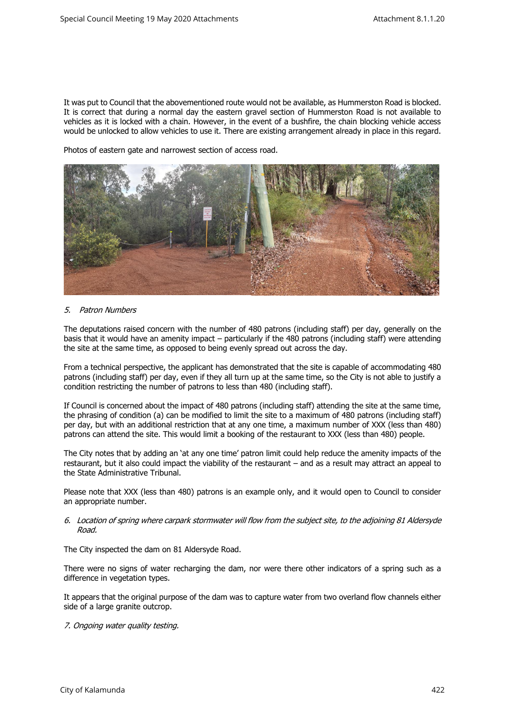It was put to Council that the abovementioned route would not be available, as Hummerston Road is blocked. It is correct that during a normal day the eastern gravel section of Hummerston Road is not available to vehicles as it is locked with a chain. However, in the event of a bushfire, the chain blocking vehicle access would be unlocked to allow vehicles to use it. There are existing arrangement already in place in this regard.

Photos of eastern gate and narrowest section of access road.



# 5. Patron Numbers

The deputations raised concern with the number of 480 patrons (including staff) per day, generally on the basis that it would have an amenity impact – particularly if the 480 patrons (including staff) were attending the site at the same time, as opposed to being evenly spread out across the day.

From a technical perspective, the applicant has demonstrated that the site is capable of accommodating 480 patrons (including staff) per day, even if they all turn up at the same time, so the City is not able to justify a condition restricting the number of patrons to less than 480 (including staff).

If Council is concerned about the impact of 480 patrons (including staff) attending the site at the same time, the phrasing of condition (a) can be modified to limit the site to a maximum of 480 patrons (including staff) per day, but with an additional restriction that at any one time, a maximum number of XXX (less than 480) patrons can attend the site. This would limit a booking of the restaurant to XXX (less than 480) people.

The City notes that by adding an 'at any one time' patron limit could help reduce the amenity impacts of the restaurant, but it also could impact the viability of the restaurant – and as a result may attract an appeal to the State Administrative Tribunal.

Please note that XXX (less than 480) patrons is an example only, and it would open to Council to consider an appropriate number.

### 6. Location of spring where carpark stormwater will flow from the subject site, to the adjoining 81 Aldersyde Road.

The City inspected the dam on 81 Aldersyde Road.

There were no signs of water recharging the dam, nor were there other indicators of a spring such as a difference in vegetation types.

It appears that the original purpose of the dam was to capture water from two overland flow channels either side of a large granite outcrop.

# 7. Ongoing water quality testing.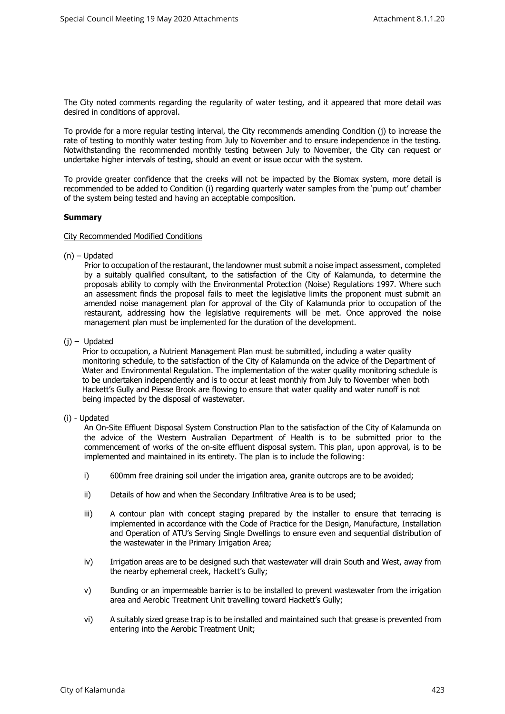The City noted comments regarding the regularity of water testing, and it appeared that more detail was desired in conditions of approval.

To provide for a more regular testing interval, the City recommends amending Condition (j) to increase the rate of testing to monthly water testing from July to November and to ensure independence in the testing. Notwithstanding the recommended monthly testing between July to November, the City can request or undertake higher intervals of testing, should an event or issue occur with the system.

To provide greater confidence that the creeks will not be impacted by the Biomax system, more detail is recommended to be added to Condition (i) regarding quarterly water samples from the 'pump out' chamber of the system being tested and having an acceptable composition.

# **Summary**

### City Recommended Modified Conditions

(n) – Updated

Prior to occupation of the restaurant, the landowner must submit a noise impact assessment, completed by a suitably qualified consultant, to the satisfaction of the City of Kalamunda, to determine the proposals ability to comply with the Environmental Protection (Noise) Regulations 1997. Where such an assessment finds the proposal fails to meet the legislative limits the proponent must submit an amended noise management plan for approval of the City of Kalamunda prior to occupation of the restaurant, addressing how the legislative requirements will be met. Once approved the noise management plan must be implemented for the duration of the development.

(j) – Updated

Prior to occupation, a Nutrient Management Plan must be submitted, including a water quality monitoring schedule, to the satisfaction of the City of Kalamunda on the advice of the Department of Water and Environmental Regulation. The implementation of the water quality monitoring schedule is to be undertaken independently and is to occur at least monthly from July to November when both Hackett's Gully and Piesse Brook are flowing to ensure that water quality and water runoff is not being impacted by the disposal of wastewater.

## (i) - Updated

An On-Site Effluent Disposal System Construction Plan to the satisfaction of the City of Kalamunda on the advice of the Western Australian Department of Health is to be submitted prior to the commencement of works of the on-site effluent disposal system. This plan, upon approval, is to be implemented and maintained in its entirety. The plan is to include the following:

- i) 600mm free draining soil under the irrigation area, granite outcrops are to be avoided;
- ii) Details of how and when the Secondary Infiltrative Area is to be used;
- iii) A contour plan with concept staging prepared by the installer to ensure that terracing is implemented in accordance with the Code of Practice for the Design, Manufacture, Installation and Operation of ATU's Serving Single Dwellings to ensure even and sequential distribution of the wastewater in the Primary Irrigation Area;
- iv) Irrigation areas are to be designed such that wastewater will drain South and West, away from the nearby ephemeral creek, Hackett's Gully;
- v) Bunding or an impermeable barrier is to be installed to prevent wastewater from the irrigation area and Aerobic Treatment Unit travelling toward Hackett's Gully;
- vi) A suitably sized grease trap is to be installed and maintained such that grease is prevented from entering into the Aerobic Treatment Unit;